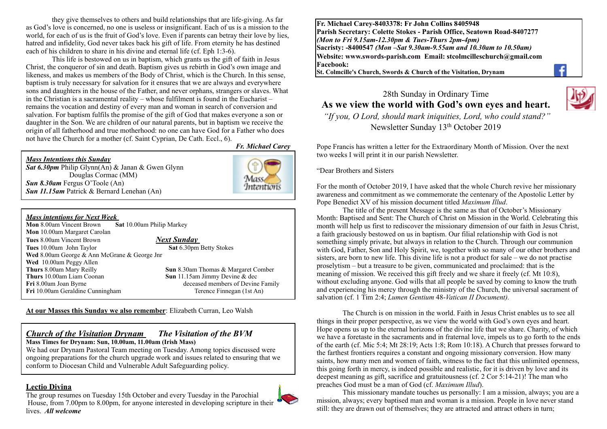they give themselves to others and build relationships that are life-giving. As far as God's love is concerned, no one is useless or insignificant. Each of us is a mission to the world, for each of us is the fruit of God's love. Even if parents can betray their love by lies, hatred and infidelity, God never takes back his gift of life. From eternity he has destined each of his children to share in his divine and eternal life (cf. Eph 1:3-6).

This life is bestowed on us in baptism, which grants us the gift of faith in Jesus Christ, the conqueror of sin and death. Baptism gives us rebirth in God's own image and likeness, and makes us members of the Body of Christ, which is the Church. In this sense, baptism is truly necessary for salvation for it ensures that we are always and everywhere sons and daughters in the house of the Father, and never orphans, strangers or slaves. What in the Christian is a sacramental reality – whose fulfilment is found in the Eucharist – remains the vocation and destiny of every man and woman in search of conversion and salvation. For baptism fulfils the promise of the gift of God that makes everyone a son or daughter in the Son. We are children of our natural parents, but in baptism we receive the origin of all fatherhood and true motherhood: no one can have God for a Father who does not have the Church for a mother (cf. Saint Cyprian, De Cath. Eccl., 6).

*Fr. Michael Carey*

### *Mass Intentions this Sunday*

*Sat 6.30pm* Philip Glynn(An) & Janan & Gwen Glynn Douglas Cormac (MM) *Sun 8.30am* Fergus O'Toole (An) *Sun 11.15am* Patrick & Bernard Lenehan (An)



#### *Mass intentions for Next Week*

**Mon** 8.00am Vincent Brown **Sat** 10.00am Philip Markey **Mon** 10.00am Margaret Carolan **Tues** 8.00am Vincent Brown *Next Sunday*  **Tues** 10.00am John Taylor **Sat** 6.30pm Betty Stokes **Wed** 8.00am George & Ann McGrane & George Jnr **Wed** 10.00am Peggy Allen **Thurs** 8.00am Mary Reilly **Sun** 8.30am Thomas & Margaret Comber **Thurs** 10.00am Liam Coonan **Sun** 11.15am Jimmy Devine & dec **Fri** 8.00am Joan Byrne *deceased members of Devine Family* **Fri** 10.00am Geraldine Cunningham Terence Finnegan (1st An)

**At our Masses this Sunday we also remember**: Elizabeth Curran, Leo Walsh

#### *Church of the Visitation Drynam**The Visitation of the BVM* **Mass Times for Drynam: Sun, 10.00am, 11.00am (Irish Mass)**

We had our Drynam Pastoral Team meeting on Tuesday. Among topics discussed were ongoing preparations for the church upgrade work and issues related to ensuring that we conform to Diocesan Child and Vulnerable Adult Safeguarding policy.

# **Lectio Divina**

The group resumes on Tuesday 15th October and every Tuesday in the Parochial House, from 7.00pm to 8.00pm, for anyone interested in developing scripture in their lives. *All welcome*



**Fr. Michael Carey-8403378: Fr John Collins 8405948 Parish Secretary: Colette Stokes - Parish Office, Seatown Road-8407277**  *(Mon to Fri 9.15am-12.30pm & Tues-Thurs 2pm-4pm)*  **Sacristy: -8400547** *(Mon –Sat 9.30am-9.55am and 10.30am to 10.50am)* **Website: [www.swords-parish.com Email:](http://www.swords-parish.com%20%20email) stcolmcilleschurch@gmail.com Facebook:** 

**St. Colmcille's Church, Swords & Church of the Visitation, Drynam**



# 28th Sunday in Ordinary Time **As we view the world with God's own eyes and heart.**

 *"If you, O Lord, should mark iniquities, Lord, who could stand?"*  Newsletter Sunday 13th October 2019

Pope Francis has written a letter for the Extraordinary Month of Mission. Over the next two weeks I will print it in our parish Newsletter.

"Dear Brothers and Sisters

For the month of October 2019, I have asked that the whole Church revive her missionary awareness and commitment as we commemorate the centenary of the Apostolic Letter by Pope Benedict XV of his mission document titled *Maximum Illud*.

The title of the present Message is the same as that of October's Missionary Month: Baptised and Sent: The Church of Christ on Mission in the World. Celebrating this month will help us first to rediscover the missionary dimension of our faith in Jesus Christ, a faith graciously bestowed on us in baptism. Our filial relationship with God is not something simply private, but always in relation to the Church. Through our communion with God, Father, Son and Holy Spirit, we, together with so many of our other brothers and sisters, are born to new life. This divine life is not a product for sale – we do not practise proselytism – but a treasure to be given, communicated and proclaimed: that is the meaning of mission. We received this gift freely and we share it freely (cf. Mt 10:8), without excluding anyone. God wills that all people be saved by coming to know the truth and experiencing his mercy through the ministry of the Church, the universal sacrament of salvation (cf. 1 Tim 2:4; *Lumen Gentium* 48-*Vatican II Document).*

The Church is on mission in the world. Faith in Jesus Christ enables us to see all things in their proper perspective, as we view the world with God's own eyes and heart. Hope opens us up to the eternal horizons of the divine life that we share. Charity, of which we have a foretaste in the sacraments and in fraternal love, impels us to go forth to the ends of the earth (cf. Mic 5:4; Mt 28:19; Acts 1:8; Rom 10:18). A Church that presses forward to the farthest frontiers requires a constant and ongoing missionary conversion. How many saints, how many men and women of faith, witness to the fact that this unlimited openness, this going forth in mercy, is indeed possible and realistic, for it is driven by love and its deepest meaning as gift, sacrifice and gratuitousness (cf. 2 Cor 5:14-21)! The man who preaches God must be a man of God (cf. *Maximum Illud*).

This missionary mandate touches us personally: I am a mission, always; you are a mission, always; every baptised man and woman is a mission. People in love never stand still: they are drawn out of themselves; they are attracted and attract others in turn;